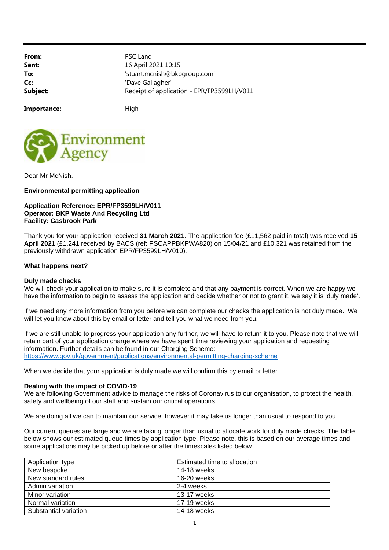From: PSC Land **Sent:** 16 April 2021 10:15 **To:**  $\qquad \qquad$  'stuart.mcnish@bkpgroup.com' **Cc:** 'Dave Gallagher' **Subject:** Receipt of application - EPR/FP3599LH/V011

Importance: High



Dear Mr McNish.

# **Environmental permitting application**

## **Application Reference: EPR/FP3599LH/V011 Operator: BKP Waste And Recycling Ltd Facility: Casbrook Park**

Thank you for your application received **31 March 2021**. The application fee (£11,562 paid in total) was received **15 April 2021** (£1,241 received by BACS (ref: PSCAPPBKPWA820) on 15/04/21 and £10,321 was retained from the previously withdrawn application EPR/FP3599LH/V010).

## **What happens next?**

## **Duly made checks**

We will check your application to make sure it is complete and that any payment is correct. When we are happy we have the information to begin to assess the application and decide whether or not to grant it, we say it is 'duly made'.

If we need any more information from you before we can complete our checks the application is not duly made. We will let you know about this by email or letter and tell you what we need from you.

If we are still unable to progress your application any further, we will have to return it to you. Please note that we will retain part of your application charge where we have spent time reviewing your application and requesting information. Further details can be found in our Charging Scheme: https://www.gov.uk/government/publications/environmental-permitting-charging-scheme

When we decide that your application is duly made we will confirm this by email or letter.

### **Dealing with the impact of COVID-19**

We are following Government advice to manage the risks of Coronavirus to our organisation, to protect the health, safety and wellbeing of our staff and sustain our critical operations.

We are doing all we can to maintain our service, however it may take us longer than usual to respond to you.

Our current queues are large and we are taking longer than usual to allocate work for duly made checks. The table below shows our estimated queue times by application type. Please note, this is based on our average times and some applications may be picked up before or after the timescales listed below.

| Application type      | <b>Estimated time to allocation</b> |
|-----------------------|-------------------------------------|
| New bespoke           | 14-18 weeks                         |
| New standard rules    | 16-20 weeks                         |
| Admin variation       | 2-4 weeks                           |
| Minor variation       | 13-17 weeks                         |
| Normal variation      | 17-19 weeks                         |
| Substantial variation | 14-18 weeks                         |